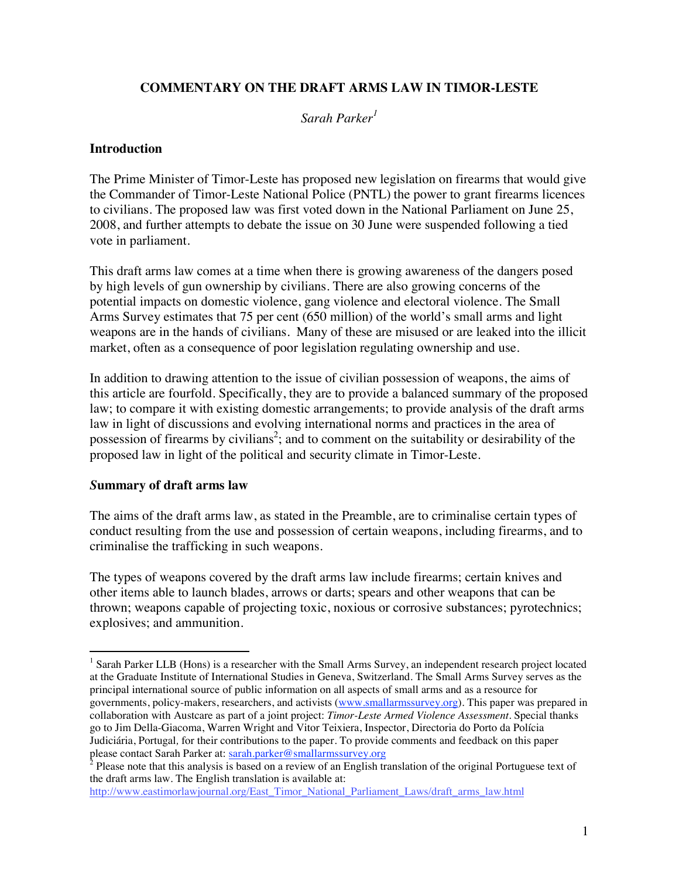# **COMMENTARY ON THE DRAFT ARMS LAW IN TIMOR-LESTE**

## *Sarah Parker<sup>1</sup>*

## **Introduction**

The Prime Minister of Timor-Leste has proposed new legislation on firearms that would give the Commander of Timor-Leste National Police (PNTL) the power to grant firearms licences to civilians. The proposed law was first voted down in the National Parliament on June 25, 2008, and further attempts to debate the issue on 30 June were suspended following a tied vote in parliament.

This draft arms law comes at a time when there is growing awareness of the dangers posed by high levels of gun ownership by civilians. There are also growing concerns of the potential impacts on domestic violence, gang violence and electoral violence. The Small Arms Survey estimates that 75 per cent (650 million) of the world's small arms and light weapons are in the hands of civilians. Many of these are misused or are leaked into the illicit market, often as a consequence of poor legislation regulating ownership and use.

In addition to drawing attention to the issue of civilian possession of weapons, the aims of this article are fourfold. Specifically, they are to provide a balanced summary of the proposed law; to compare it with existing domestic arrangements; to provide analysis of the draft arms law in light of discussions and evolving international norms and practices in the area of possession of firearms by civilians<sup>2</sup>; and to comment on the suitability or desirability of the proposed law in light of the political and security climate in Timor-Leste.

## *S***ummary of draft arms law**

The aims of the draft arms law, as stated in the Preamble, are to criminalise certain types of conduct resulting from the use and possession of certain weapons, including firearms, and to criminalise the trafficking in such weapons.

The types of weapons covered by the draft arms law include firearms; certain knives and other items able to launch blades, arrows or darts; spears and other weapons that can be thrown; weapons capable of projecting toxic, noxious or corrosive substances; pyrotechnics; explosives; and ammunition.

<sup>-</sup><sup>1</sup> Sarah Parker LLB (Hons) is a researcher with the Small Arms Survey, an independent research project located at the Graduate Institute of International Studies in Geneva, Switzerland. The Small Arms Survey serves as the principal international source of public information on all aspects of small arms and as a resource for governments, policy-makers, researchers, and activists (www.smallarmssurvey.org). This paper was prepared in collaboration with Austcare as part of a joint project: *Timor-Leste Armed Violence Assessment*. Special thanks go to Jim Della-Giacoma, Warren Wright and Vitor Teixiera, Inspector, Directoria do Porto da Polícia Judiciária, Portugal*,* for their contributions to the paper. To provide comments and feedback on this paper please contact Sarah Parker at: sarah.parker@smallarmssurvey.org

 $^2$  Please note that this analysis is based on a review of an English translation of the original Portuguese text of the draft arms law. The English translation is available at:

http://www.eastimorlawjournal.org/East\_Timor\_National\_Parliament\_Laws/draft\_arms\_law.html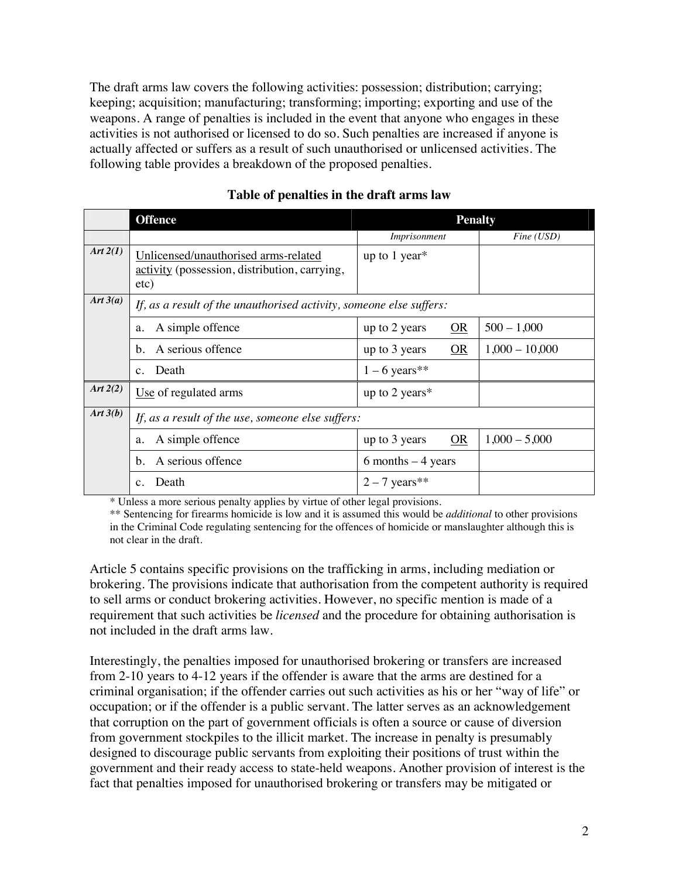The draft arms law covers the following activities: possession; distribution; carrying; keeping; acquisition; manufacturing; transforming; importing; exporting and use of the weapons. A range of penalties is included in the event that anyone who engages in these activities is not authorised or licensed to do so. Such penalties are increased if anyone is actually affected or suffers as a result of such unauthorised or unlicensed activities. The following table provides a breakdown of the proposed penalties.

|            | <b>Offence</b>                                                                                | <b>Penalty</b>      |                  |
|------------|-----------------------------------------------------------------------------------------------|---------------------|------------------|
|            |                                                                                               | Imprisonment        | Fine (USD)       |
| Art $2(1)$ | Unlicensed/unauthorised arms-related<br>activity (possession, distribution, carrying,<br>etc) | up to $1$ year*     |                  |
| Art $3(a)$ | If, as a result of the unauthorised activity, someone else suffers:                           |                     |                  |
|            | A simple offence<br>a.                                                                        | OR<br>up to 2 years | $500 - 1,000$    |
|            | A serious offence<br>b.                                                                       | OR<br>up to 3 years | $1,000 - 10,000$ |
|            | Death<br>$\mathbf{c}$ .                                                                       | $1 - 6$ years**     |                  |
| Art $2(2)$ | Use of regulated arms                                                                         | up to 2 years*      |                  |
| Art $3(b)$ | If, as a result of the use, someone else suffers:                                             |                     |                  |
|            | A simple offence<br>a.                                                                        | up to 3 years<br>OR | $1,000 - 5,000$  |
|            | A serious offence<br>b.                                                                       | 6 months $-4$ years |                  |
|            | Death<br>$\mathbf{c}$ .                                                                       | $2 - 7$ years**     |                  |

## **Table of penalties in the draft arms law**

\* Unless a more serious penalty applies by virtue of other legal provisions.

\*\* Sentencing for firearms homicide is low and it is assumed this would be *additional* to other provisions in the Criminal Code regulating sentencing for the offences of homicide or manslaughter although this is not clear in the draft.

Article 5 contains specific provisions on the trafficking in arms, including mediation or brokering. The provisions indicate that authorisation from the competent authority is required to sell arms or conduct brokering activities. However, no specific mention is made of a requirement that such activities be *licensed* and the procedure for obtaining authorisation is not included in the draft arms law.

Interestingly, the penalties imposed for unauthorised brokering or transfers are increased from 2-10 years to 4-12 years if the offender is aware that the arms are destined for a criminal organisation; if the offender carries out such activities as his or her "way of life" or occupation; or if the offender is a public servant. The latter serves as an acknowledgement that corruption on the part of government officials is often a source or cause of diversion from government stockpiles to the illicit market. The increase in penalty is presumably designed to discourage public servants from exploiting their positions of trust within the government and their ready access to state-held weapons. Another provision of interest is the fact that penalties imposed for unauthorised brokering or transfers may be mitigated or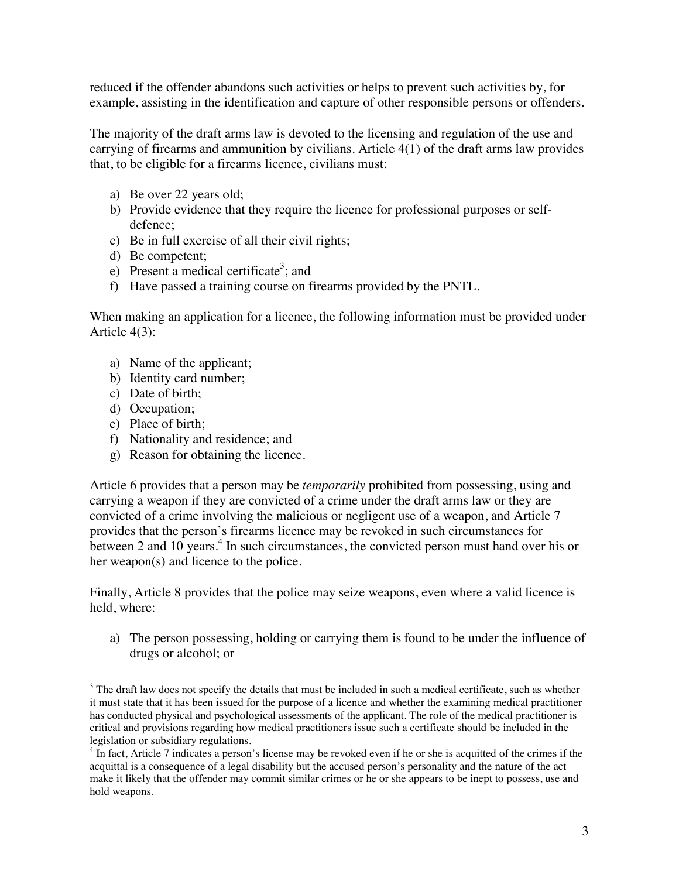reduced if the offender abandons such activities or helps to prevent such activities by, for example, assisting in the identification and capture of other responsible persons or offenders.

The majority of the draft arms law is devoted to the licensing and regulation of the use and carrying of firearms and ammunition by civilians. Article 4(1) of the draft arms law provides that, to be eligible for a firearms licence, civilians must:

- a) Be over 22 years old;
- b) Provide evidence that they require the licence for professional purposes or selfdefence;
- c) Be in full exercise of all their civil rights;
- d) Be competent;
- e) Present a medical certificate<sup>3</sup>; and
- f) Have passed a training course on firearms provided by the PNTL.

When making an application for a licence, the following information must be provided under Article 4(3):

- a) Name of the applicant;
- b) Identity card number;
- c) Date of birth;
- d) Occupation;
- e) Place of birth;
- f) Nationality and residence; and
- g) Reason for obtaining the licence.

Article 6 provides that a person may be *temporarily* prohibited from possessing, using and carrying a weapon if they are convicted of a crime under the draft arms law or they are convicted of a crime involving the malicious or negligent use of a weapon, and Article 7 provides that the person's firearms licence may be revoked in such circumstances for between 2 and 10 years.<sup>4</sup> In such circumstances, the convicted person must hand over his or her weapon(s) and licence to the police.

Finally, Article 8 provides that the police may seize weapons, even where a valid licence is held, where:

a) The person possessing, holding or carrying them is found to be under the influence of drugs or alcohol; or

 $\overline{a}$  $3$  The draft law does not specify the details that must be included in such a medical certificate, such as whether it must state that it has been issued for the purpose of a licence and whether the examining medical practitioner has conducted physical and psychological assessments of the applicant. The role of the medical practitioner is critical and provisions regarding how medical practitioners issue such a certificate should be included in the legislation or subsidiary regulations.

<sup>&</sup>lt;sup>4</sup> In fact, Article 7 indicates a person's license may be revoked even if he or she is acquitted of the crimes if the acquittal is a consequence of a legal disability but the accused person's personality and the nature of the act make it likely that the offender may commit similar crimes or he or she appears to be inept to possess, use and hold weapons.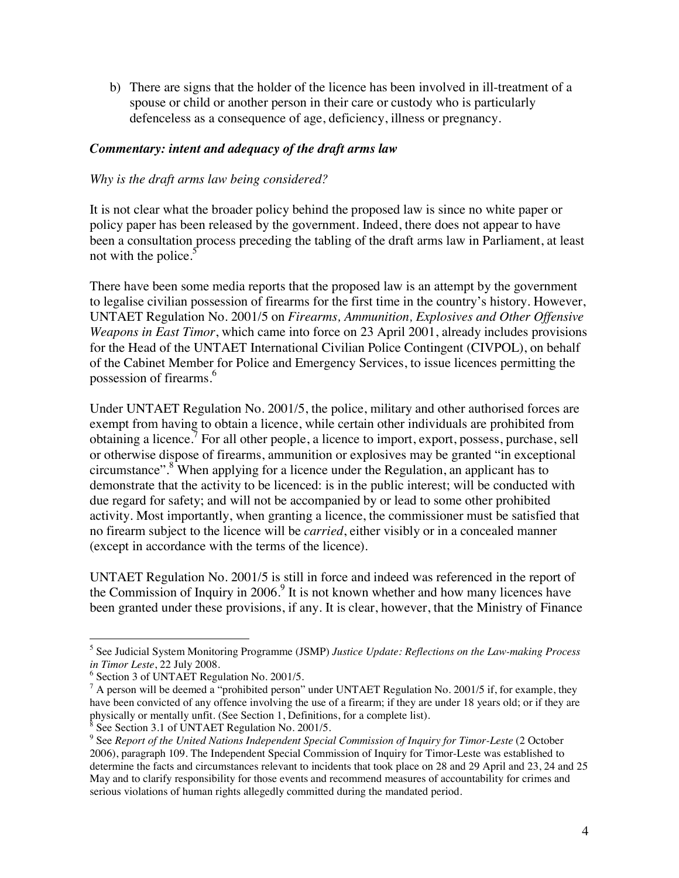b) There are signs that the holder of the licence has been involved in ill-treatment of a spouse or child or another person in their care or custody who is particularly defenceless as a consequence of age, deficiency, illness or pregnancy.

# *Commentary: intent and adequacy of the draft arms law*

## *Why is the draft arms law being considered?*

It is not clear what the broader policy behind the proposed law is since no white paper or policy paper has been released by the government. Indeed, there does not appear to have been a consultation process preceding the tabling of the draft arms law in Parliament, at least not with the police. $5$ 

There have been some media reports that the proposed law is an attempt by the government to legalise civilian possession of firearms for the first time in the country's history. However, UNTAET Regulation No. 2001/5 on *Firearms, Ammunition, Explosives and Other Offensive Weapons in East Timor*, which came into force on 23 April 2001, already includes provisions for the Head of the UNTAET International Civilian Police Contingent (CIVPOL), on behalf of the Cabinet Member for Police and Emergency Services, to issue licences permitting the possession of firearms.<sup>6</sup>

Under UNTAET Regulation No. 2001/5, the police, military and other authorised forces are exempt from having to obtain a licence, while certain other individuals are prohibited from obtaining a licence.<sup>7</sup> For all other people, a licence to import, export, possess, purchase, sell or otherwise dispose of firearms, ammunition or explosives may be granted "in exceptional circumstance".<sup>8</sup> When applying for a licence under the Regulation, an applicant has to demonstrate that the activity to be licenced: is in the public interest; will be conducted with due regard for safety; and will not be accompanied by or lead to some other prohibited activity. Most importantly, when granting a licence, the commissioner must be satisfied that no firearm subject to the licence will be *carried*, either visibly or in a concealed manner (except in accordance with the terms of the licence).

UNTAET Regulation No. 2001/5 is still in force and indeed was referenced in the report of the Commission of Inquiry in 2006. $9$  It is not known whether and how many licences have been granted under these provisions, if any. It is clear, however, that the Ministry of Finance

 $\overline{a}$ 5 See Judicial System Monitoring Programme (JSMP) *Justice Update: Reflections on the Law-making Process in Timor Leste*, 22 July 2008.

<sup>&</sup>lt;sup>6</sup> Section 3 of UNTAET Regulation No. 2001/5.

 $^7$  A person will be deemed a "prohibited person" under UNTAET Regulation No. 2001/5 if, for example, they have been convicted of any offence involving the use of a firearm; if they are under 18 years old; or if they are physically or mentally unfit. (See Section 1, Definitions, for a complete list). 8

See Section 3.1 of UNTAET Regulation No. 2001/5.

<sup>9</sup> See *Report of the United Nations Independent Special Commission of Inquiry for Timor-Leste* (2 October 2006), paragraph 109. The Independent Special Commission of Inquiry for Timor-Leste was established to determine the facts and circumstances relevant to incidents that took place on 28 and 29 April and 23, 24 and 25 May and to clarify responsibility for those events and recommend measures of accountability for crimes and serious violations of human rights allegedly committed during the mandated period.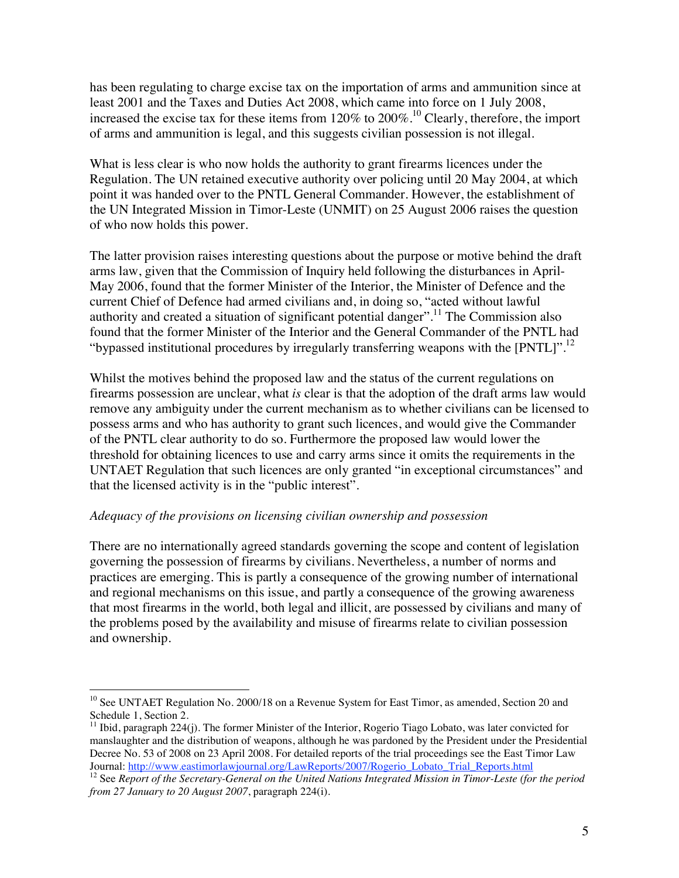has been regulating to charge excise tax on the importation of arms and ammunition since at least 2001 and the Taxes and Duties Act 2008, which came into force on 1 July 2008, increased the excise tax for these items from 120% to 200%.10 Clearly, therefore, the import of arms and ammunition is legal, and this suggests civilian possession is not illegal.

What is less clear is who now holds the authority to grant firearms licences under the Regulation. The UN retained executive authority over policing until 20 May 2004, at which point it was handed over to the PNTL General Commander. However, the establishment of the UN Integrated Mission in Timor-Leste (UNMIT) on 25 August 2006 raises the question of who now holds this power.

The latter provision raises interesting questions about the purpose or motive behind the draft arms law, given that the Commission of Inquiry held following the disturbances in April-May 2006, found that the former Minister of the Interior, the Minister of Defence and the current Chief of Defence had armed civilians and, in doing so, "acted without lawful authority and created a situation of significant potential danger".<sup>11</sup> The Commission also found that the former Minister of the Interior and the General Commander of the PNTL had "bypassed institutional procedures by irregularly transferring weapons with the  $[PNTL]$ ".<sup>12</sup>

Whilst the motives behind the proposed law and the status of the current regulations on firearms possession are unclear, what *is* clear is that the adoption of the draft arms law would remove any ambiguity under the current mechanism as to whether civilians can be licensed to possess arms and who has authority to grant such licences, and would give the Commander of the PNTL clear authority to do so. Furthermore the proposed law would lower the threshold for obtaining licences to use and carry arms since it omits the requirements in the UNTAET Regulation that such licences are only granted "in exceptional circumstances" and that the licensed activity is in the "public interest".

## *Adequacy of the provisions on licensing civilian ownership and possession*

There are no internationally agreed standards governing the scope and content of legislation governing the possession of firearms by civilians. Nevertheless, a number of norms and practices are emerging. This is partly a consequence of the growing number of international and regional mechanisms on this issue, and partly a consequence of the growing awareness that most firearms in the world, both legal and illicit, are possessed by civilians and many of the problems posed by the availability and misuse of firearms relate to civilian possession and ownership.

 $\overline{a}$ <sup>10</sup> See UNTAET Regulation No. 2000/18 on a Revenue System for East Timor, as amended, Section 20 and Schedule 1, Section 2.

<sup>&</sup>lt;sup>11</sup> Ibid, paragraph 224(j). The former Minister of the Interior, Rogerio Tiago Lobato, was later convicted for manslaughter and the distribution of weapons, although he was pardoned by the President under the Presidential Decree No. 53 of 2008 on 23 April 2008. For detailed reports of the trial proceedings see the East Timor Law<br>Journal: http://www.eastimorlawjournal.org/LawReports/2007/Rogerio Lobato Trial Reports.html

<sup>&</sup>lt;sup>12</sup> See *Report of the Secretary-General on the United Nations Integrated Mission in Timor-Leste (for the period from 27 January to 20 August 2007*, paragraph 224(i).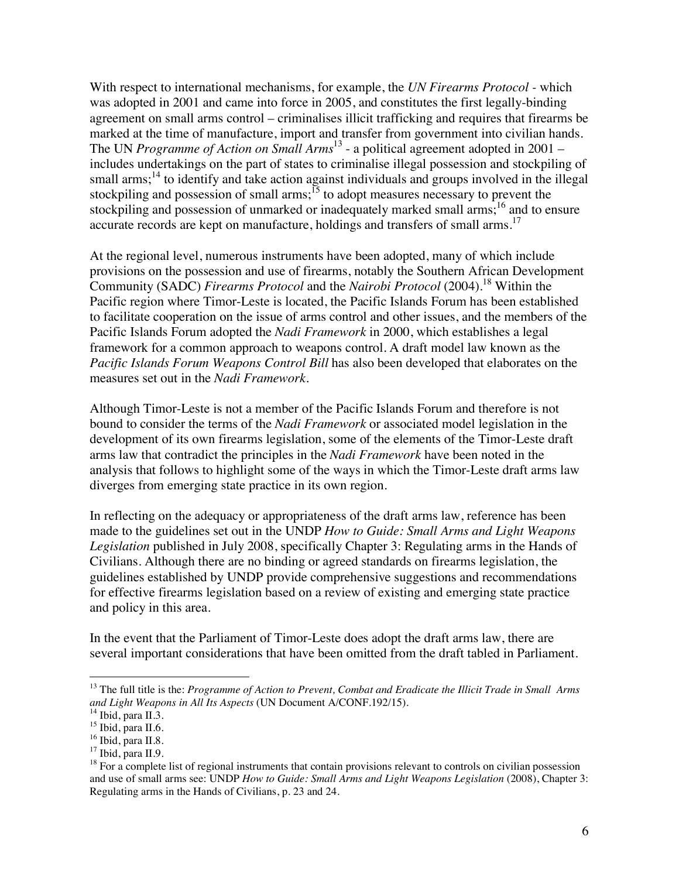With respect to international mechanisms, for example, the *UN Firearms Protocol -* which was adopted in 2001 and came into force in 2005, and constitutes the first legally-binding agreement on small arms control – criminalises illicit trafficking and requires that firearms be marked at the time of manufacture, import and transfer from government into civilian hands. The UN *Programme of Action on Small Arms*13 - a political agreement adopted in 2001 – includes undertakings on the part of states to criminalise illegal possession and stockpiling of small arms;<sup>14</sup> to identify and take action against individuals and groups involved in the illegal stockpiling and possession of small arms;<sup>15</sup> to adopt measures necessary to prevent the stockpiling and possession of unmarked or inadequately marked small arms;<sup>16</sup> and to ensure accurate records are kept on manufacture, holdings and transfers of small arms.<sup>17</sup>

At the regional level, numerous instruments have been adopted, many of which include provisions on the possession and use of firearms, notably the Southern African Development Community (SADC) *Firearms Protocol* and the *Nairobi Protocol* (2004).<sup>18</sup> Within the Pacific region where Timor-Leste is located, the Pacific Islands Forum has been established to facilitate cooperation on the issue of arms control and other issues, and the members of the Pacific Islands Forum adopted the *Nadi Framework* in 2000, which establishes a legal framework for a common approach to weapons control. A draft model law known as the *Pacific Islands Forum Weapons Control Bill* has also been developed that elaborates on the measures set out in the *Nadi Framework*.

Although Timor-Leste is not a member of the Pacific Islands Forum and therefore is not bound to consider the terms of the *Nadi Framework* or associated model legislation in the development of its own firearms legislation, some of the elements of the Timor-Leste draft arms law that contradict the principles in the *Nadi Framework* have been noted in the analysis that follows to highlight some of the ways in which the Timor-Leste draft arms law diverges from emerging state practice in its own region.

In reflecting on the adequacy or appropriateness of the draft arms law, reference has been made to the guidelines set out in the UNDP *How to Guide: Small Arms and Light Weapons Legislation* published in July 2008, specifically Chapter 3: Regulating arms in the Hands of Civilians. Although there are no binding or agreed standards on firearms legislation, the guidelines established by UNDP provide comprehensive suggestions and recommendations for effective firearms legislation based on a review of existing and emerging state practice and policy in this area.

In the event that the Parliament of Timor-Leste does adopt the draft arms law, there are several important considerations that have been omitted from the draft tabled in Parliament.

 $\overline{a}$ 

<sup>&</sup>lt;sup>13</sup> The full title is the: *Programme of Action to Prevent, Combat and Eradicate the Illicit Trade in Small Arms and Light Weapons in All Its Aspects* (UN Document A/CONF.192/15). 14 Ibid, para II.3.

<sup>&</sup>lt;sup>15</sup> Ibid, para II.6.

<sup>&</sup>lt;sup>16</sup> Ibid, para II.8.

 $17$  Ibid, para II.9.

 $18$  For a complete list of regional instruments that contain provisions relevant to controls on civilian possession and use of small arms see: UNDP *How to Guide: Small Arms and Light Weapons Legislation* (2008), Chapter 3: Regulating arms in the Hands of Civilians, p. 23 and 24.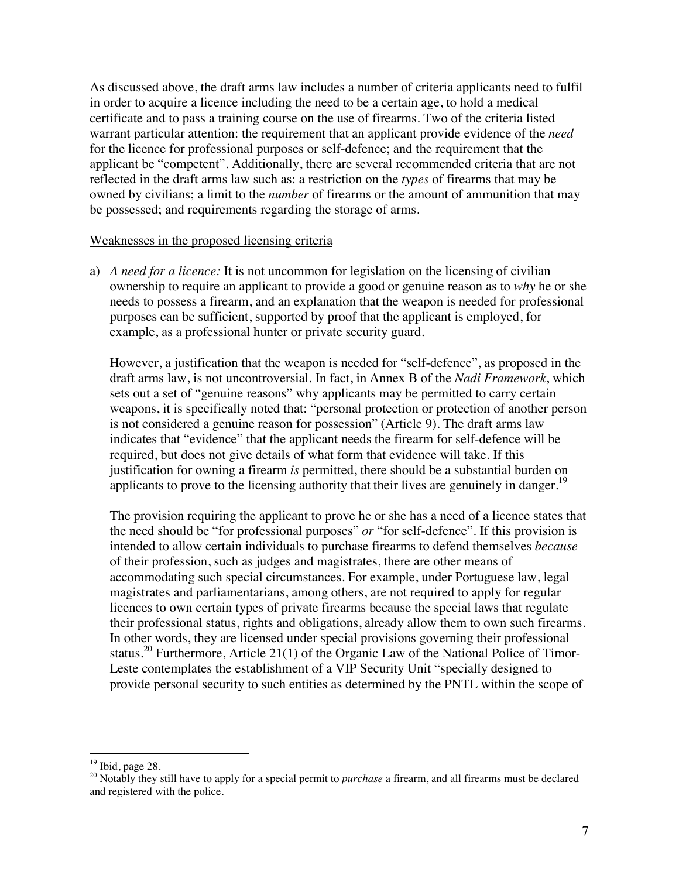As discussed above, the draft arms law includes a number of criteria applicants need to fulfil in order to acquire a licence including the need to be a certain age, to hold a medical certificate and to pass a training course on the use of firearms. Two of the criteria listed warrant particular attention: the requirement that an applicant provide evidence of the *need* for the licence for professional purposes or self-defence; and the requirement that the applicant be "competent". Additionally, there are several recommended criteria that are not reflected in the draft arms law such as: a restriction on the *types* of firearms that may be owned by civilians; a limit to the *number* of firearms or the amount of ammunition that may be possessed; and requirements regarding the storage of arms.

## Weaknesses in the proposed licensing criteria

a) *A need for a licence:* It is not uncommon for legislation on the licensing of civilian ownership to require an applicant to provide a good or genuine reason as to *why* he or she needs to possess a firearm, and an explanation that the weapon is needed for professional purposes can be sufficient, supported by proof that the applicant is employed, for example, as a professional hunter or private security guard.

However, a justification that the weapon is needed for "self-defence", as proposed in the draft arms law, is not uncontroversial. In fact, in Annex B of the *Nadi Framework*, which sets out a set of "genuine reasons" why applicants may be permitted to carry certain weapons, it is specifically noted that: "personal protection or protection of another person is not considered a genuine reason for possession" (Article 9). The draft arms law indicates that "evidence" that the applicant needs the firearm for self-defence will be required, but does not give details of what form that evidence will take. If this justification for owning a firearm *is* permitted, there should be a substantial burden on applicants to prove to the licensing authority that their lives are genuinely in danger.<sup>19</sup>

The provision requiring the applicant to prove he or she has a need of a licence states that the need should be "for professional purposes" *or* "for self-defence". If this provision is intended to allow certain individuals to purchase firearms to defend themselves *because* of their profession, such as judges and magistrates, there are other means of accommodating such special circumstances. For example, under Portuguese law, legal magistrates and parliamentarians, among others, are not required to apply for regular licences to own certain types of private firearms because the special laws that regulate their professional status, rights and obligations, already allow them to own such firearms. In other words, they are licensed under special provisions governing their professional status.<sup>20</sup> Furthermore, Article 21(1) of the Organic Law of the National Police of Timor-Leste contemplates the establishment of a VIP Security Unit "specially designed to provide personal security to such entities as determined by the PNTL within the scope of

 $\overline{a}$  $19$  Ibid, page 28.

<sup>&</sup>lt;sup>20</sup> Notably they still have to apply for a special permit to *purchase* a firearm, and all firearms must be declared and registered with the police.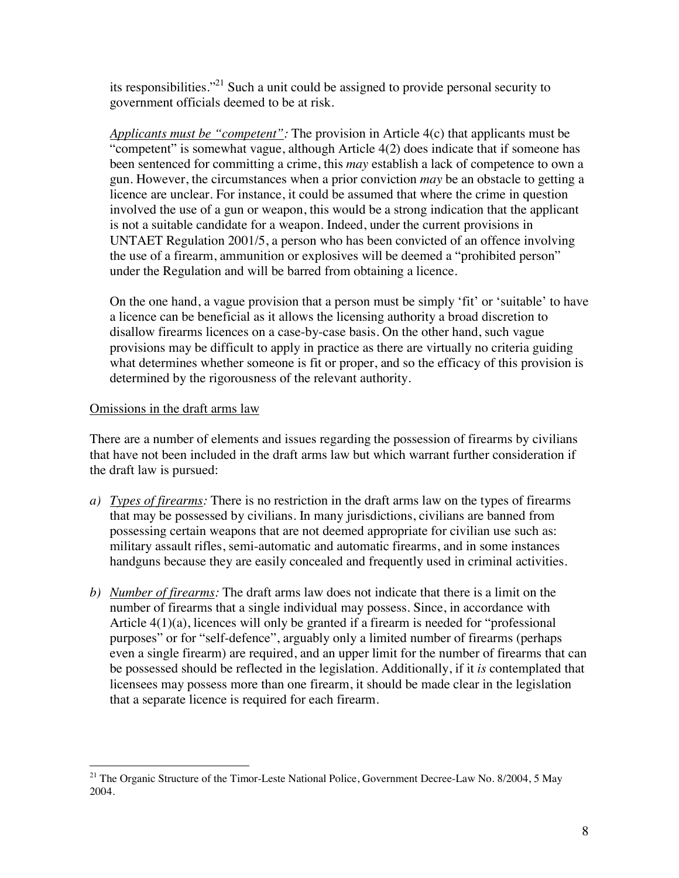its responsibilities."21 Such a unit could be assigned to provide personal security to government officials deemed to be at risk.

*Applicants must be "competent":* The provision in Article 4(c) that applicants must be "competent" is somewhat vague, although Article 4(2) does indicate that if someone has been sentenced for committing a crime, this *may* establish a lack of competence to own a gun. However, the circumstances when a prior conviction *may* be an obstacle to getting a licence are unclear. For instance, it could be assumed that where the crime in question involved the use of a gun or weapon, this would be a strong indication that the applicant is not a suitable candidate for a weapon. Indeed, under the current provisions in UNTAET Regulation 2001/5, a person who has been convicted of an offence involving the use of a firearm, ammunition or explosives will be deemed a "prohibited person" under the Regulation and will be barred from obtaining a licence.

On the one hand, a vague provision that a person must be simply 'fit' or 'suitable' to have a licence can be beneficial as it allows the licensing authority a broad discretion to disallow firearms licences on a case-by-case basis. On the other hand, such vague provisions may be difficult to apply in practice as there are virtually no criteria guiding what determines whether someone is fit or proper, and so the efficacy of this provision is determined by the rigorousness of the relevant authority.

## Omissions in the draft arms law

There are a number of elements and issues regarding the possession of firearms by civilians that have not been included in the draft arms law but which warrant further consideration if the draft law is pursued:

- *a) Types of firearms:* There is no restriction in the draft arms law on the types of firearms that may be possessed by civilians. In many jurisdictions, civilians are banned from possessing certain weapons that are not deemed appropriate for civilian use such as: military assault rifles, semi-automatic and automatic firearms, and in some instances handguns because they are easily concealed and frequently used in criminal activities.
- *b) Number of firearms:* The draft arms law does not indicate that there is a limit on the number of firearms that a single individual may possess. Since, in accordance with Article 4(1)(a), licences will only be granted if a firearm is needed for "professional purposes" or for "self-defence", arguably only a limited number of firearms (perhaps even a single firearm) are required, and an upper limit for the number of firearms that can be possessed should be reflected in the legislation. Additionally, if it *is* contemplated that licensees may possess more than one firearm, it should be made clear in the legislation that a separate licence is required for each firearm.

 $\overline{a}$ <sup>21</sup> The Organic Structure of the Timor-Leste National Police, Government Decree-Law No. 8/2004, 5 May 2004.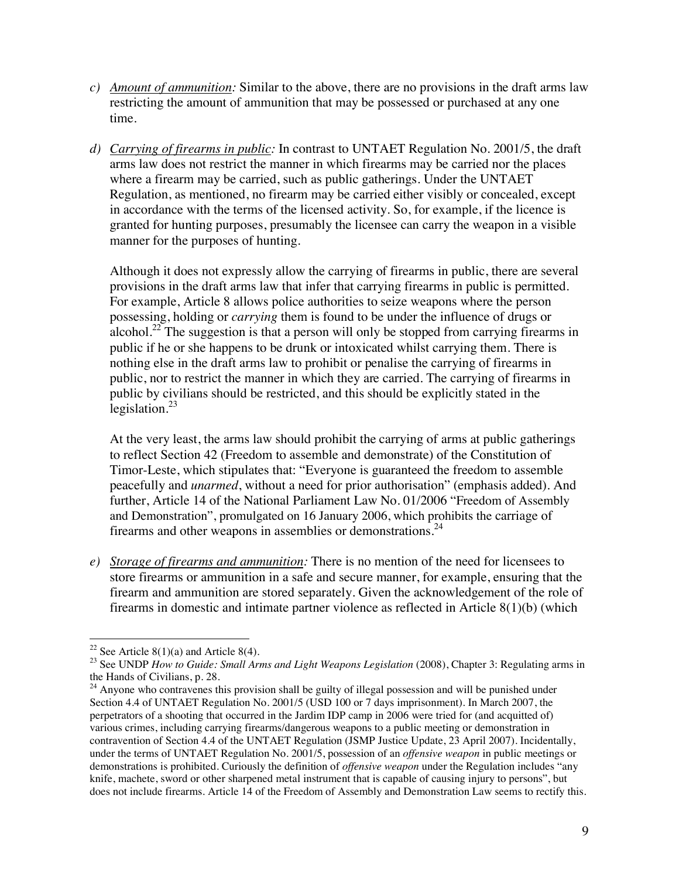- *c) Amount of ammunition:* Similar to the above, there are no provisions in the draft arms law restricting the amount of ammunition that may be possessed or purchased at any one time.
- *d) Carrying of firearms in public:* In contrast to UNTAET Regulation No. 2001/5, the draft arms law does not restrict the manner in which firearms may be carried nor the places where a firearm may be carried, such as public gatherings. Under the UNTAET Regulation, as mentioned, no firearm may be carried either visibly or concealed, except in accordance with the terms of the licensed activity. So, for example, if the licence is granted for hunting purposes, presumably the licensee can carry the weapon in a visible manner for the purposes of hunting.

Although it does not expressly allow the carrying of firearms in public, there are several provisions in the draft arms law that infer that carrying firearms in public is permitted. For example, Article 8 allows police authorities to seize weapons where the person possessing, holding or *carrying* them is found to be under the influence of drugs or alcohol.<sup>22</sup> The suggestion is that a person will only be stopped from carrying firearms in public if he or she happens to be drunk or intoxicated whilst carrying them. There is nothing else in the draft arms law to prohibit or penalise the carrying of firearms in public, nor to restrict the manner in which they are carried. The carrying of firearms in public by civilians should be restricted, and this should be explicitly stated in the legislation. $^{23}$ 

At the very least, the arms law should prohibit the carrying of arms at public gatherings to reflect Section 42 (Freedom to assemble and demonstrate) of the Constitution of Timor-Leste, which stipulates that: "Everyone is guaranteed the freedom to assemble peacefully and *unarmed*, without a need for prior authorisation" (emphasis added). And further, Article 14 of the National Parliament Law No. 01/2006 "Freedom of Assembly and Demonstration", promulgated on 16 January 2006, which prohibits the carriage of firearms and other weapons in assemblies or demonstrations.<sup>24</sup>

*e) Storage of firearms and ammunition:* There is no mention of the need for licensees to store firearms or ammunition in a safe and secure manner, for example, ensuring that the firearm and ammunition are stored separately. Given the acknowledgement of the role of firearms in domestic and intimate partner violence as reflected in Article 8(1)(b) (which

 $\overline{a}$ <sup>22</sup> See Article  $8(1)(a)$  and Article  $8(4)$ .

<sup>&</sup>lt;sup>23</sup> See UNDP *How to Guide: Small Arms and Light Weapons Legislation* (2008), Chapter 3: Regulating arms in the Hands of Civilians, p. 28.

 $24$  Anyone who contravenes this provision shall be guilty of illegal possession and will be punished under Section 4.4 of UNTAET Regulation No. 2001/5 (USD 100 or 7 days imprisonment). In March 2007, the perpetrators of a shooting that occurred in the Jardim IDP camp in 2006 were tried for (and acquitted of) various crimes, including carrying firearms/dangerous weapons to a public meeting or demonstration in contravention of Section 4.4 of the UNTAET Regulation (JSMP Justice Update, 23 April 2007). Incidentally, under the terms of UNTAET Regulation No. 2001/5, possession of an *offensive weapon* in public meetings or demonstrations is prohibited. Curiously the definition of *offensive weapon* under the Regulation includes "any knife, machete, sword or other sharpened metal instrument that is capable of causing injury to persons", but does not include firearms. Article 14 of the Freedom of Assembly and Demonstration Law seems to rectify this.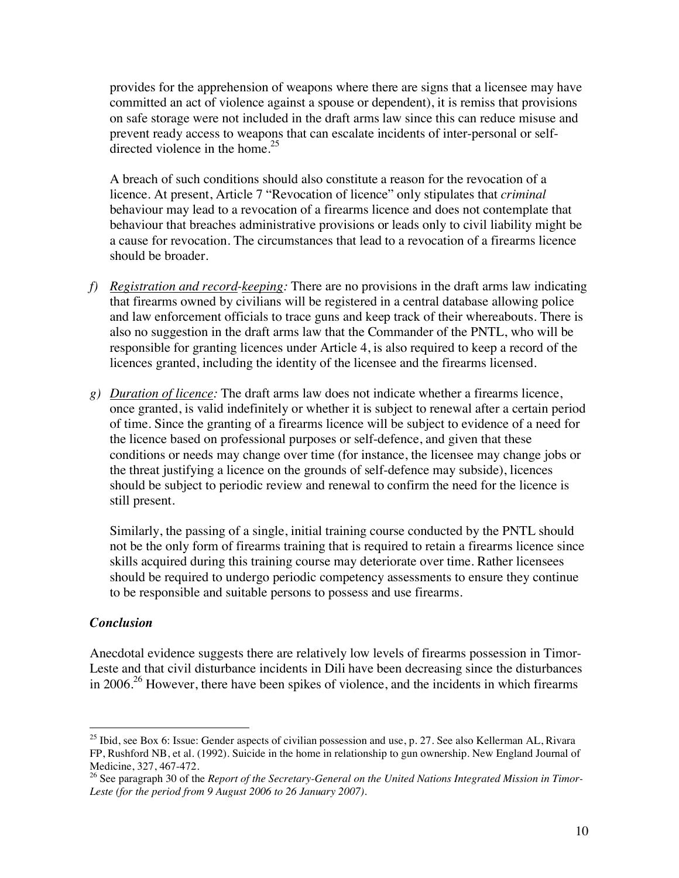provides for the apprehension of weapons where there are signs that a licensee may have committed an act of violence against a spouse or dependent), it is remiss that provisions on safe storage were not included in the draft arms law since this can reduce misuse and prevent ready access to weapons that can escalate incidents of inter-personal or selfdirected violence in the home.<sup>25</sup>

A breach of such conditions should also constitute a reason for the revocation of a licence. At present, Article 7 "Revocation of licence" only stipulates that *criminal* behaviour may lead to a revocation of a firearms licence and does not contemplate that behaviour that breaches administrative provisions or leads only to civil liability might be a cause for revocation. The circumstances that lead to a revocation of a firearms licence should be broader.

- *f) Registration and record-keeping:* There are no provisions in the draft arms law indicating that firearms owned by civilians will be registered in a central database allowing police and law enforcement officials to trace guns and keep track of their whereabouts. There is also no suggestion in the draft arms law that the Commander of the PNTL, who will be responsible for granting licences under Article 4, is also required to keep a record of the licences granted, including the identity of the licensee and the firearms licensed.
- *g) Duration of licence:* The draft arms law does not indicate whether a firearms licence, once granted, is valid indefinitely or whether it is subject to renewal after a certain period of time. Since the granting of a firearms licence will be subject to evidence of a need for the licence based on professional purposes or self-defence, and given that these conditions or needs may change over time (for instance, the licensee may change jobs or the threat justifying a licence on the grounds of self-defence may subside), licences should be subject to periodic review and renewal to confirm the need for the licence is still present.

Similarly, the passing of a single, initial training course conducted by the PNTL should not be the only form of firearms training that is required to retain a firearms licence since skills acquired during this training course may deteriorate over time. Rather licensees should be required to undergo periodic competency assessments to ensure they continue to be responsible and suitable persons to possess and use firearms.

## *Conclusion*

Anecdotal evidence suggests there are relatively low levels of firearms possession in Timor-Leste and that civil disturbance incidents in Dili have been decreasing since the disturbances in 2006.<sup>26</sup> However, there have been spikes of violence, and the incidents in which firearms

 $\overline{a}$ <sup>25</sup> Ibid, see Box 6: Issue: Gender aspects of civilian possession and use, p. 27. See also Kellerman AL, Rivara FP, Rushford NB, et al. (1992). Suicide in the home in relationship to gun ownership. New England Journal of Medicine, 327, 467-472.

<sup>&</sup>lt;sup>26</sup> See paragraph 30 of the *Report of the Secretary-General on the United Nations Integrated Mission in Timor-Leste (for the period from 9 August 2006 to 26 January 2007).*